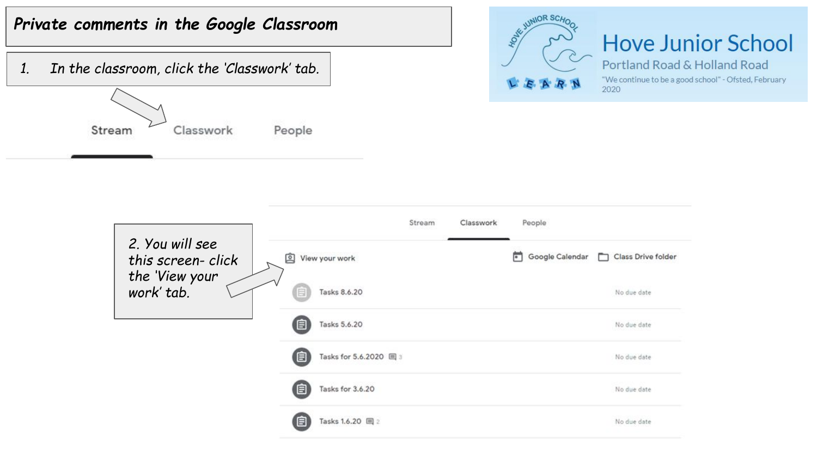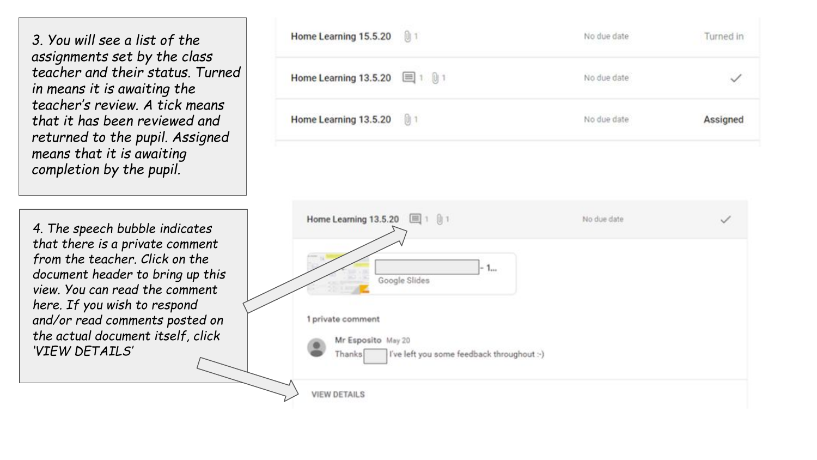*3. You will see a list of the assignments set by the class teacher and their status. Turned in means it is awaiting the teacher's review. A tick means that it has been reviewed and returned to the pupil. Assigned means that it is awaiting completion by the pupil.* 

*4. The speech bubble indicates that there is a private comment from the teacher. Click on the document header to bring up this view. You can read the comment here. If you wish to respond and/or read comments posted on the actual document itself, click 'VIEW DETAILS'* 

| Home Learning 15.5.20 (1) 1   | No due date<br>1980 - 1980 - 1980 - 1980 - 1980 | Turned in |
|-------------------------------|-------------------------------------------------|-----------|
| Home Learning 13.5.20 国 1 则 1 | No due date                                     |           |
| Home Learning 13.5.20 [1] 1   | No due date                                     | Assigned  |

| Home Learning 13.5.20 国1 01                                        | No due date |  |
|--------------------------------------------------------------------|-------------|--|
| Learn .<br>$-1$                                                    |             |  |
| Google Slides<br><b>CARD AND</b>                                   |             |  |
| 1 private comment                                                  |             |  |
| Mr Esposito May 20                                                 |             |  |
| $\bullet$<br>I've left you some feedback throughout :- )<br>Thanks |             |  |
| <b>VIEW DETAILS</b>                                                |             |  |